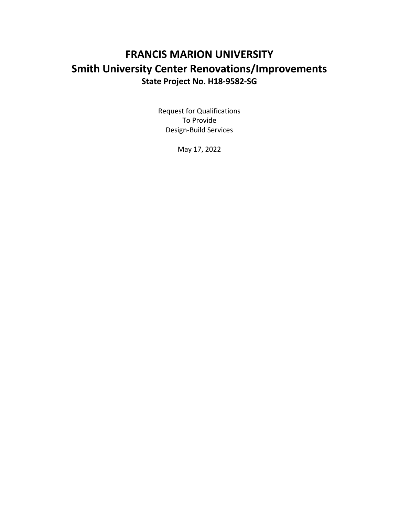# **FRANCIS MARION UNIVERSITY Smith University Center Renovations/Improvements State Project No. H18-9582-SG**

Request for Qualifications To Provide Design-Build Services

May 17, 2022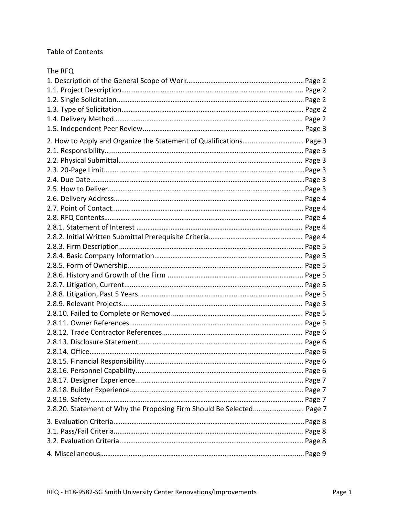## Table of Contents

| The RFQ                                                               |  |
|-----------------------------------------------------------------------|--|
|                                                                       |  |
|                                                                       |  |
|                                                                       |  |
|                                                                       |  |
|                                                                       |  |
|                                                                       |  |
| 2. How to Apply and Organize the Statement of Qualifications Page 3   |  |
|                                                                       |  |
|                                                                       |  |
|                                                                       |  |
|                                                                       |  |
|                                                                       |  |
|                                                                       |  |
|                                                                       |  |
|                                                                       |  |
|                                                                       |  |
|                                                                       |  |
|                                                                       |  |
|                                                                       |  |
|                                                                       |  |
|                                                                       |  |
|                                                                       |  |
|                                                                       |  |
|                                                                       |  |
|                                                                       |  |
|                                                                       |  |
|                                                                       |  |
|                                                                       |  |
|                                                                       |  |
|                                                                       |  |
|                                                                       |  |
|                                                                       |  |
|                                                                       |  |
|                                                                       |  |
| 2.8.20. Statement of Why the Proposing Firm Should Be Selected Page 7 |  |
|                                                                       |  |
|                                                                       |  |
|                                                                       |  |
|                                                                       |  |
|                                                                       |  |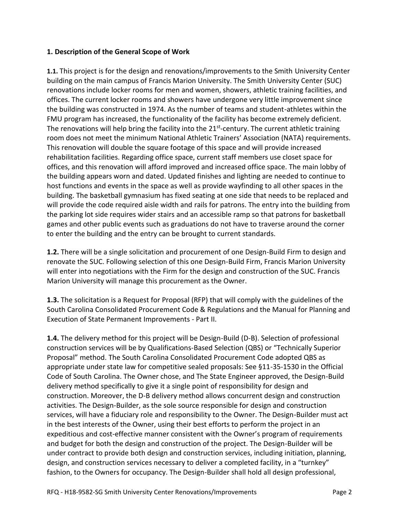#### **1. Description of the General Scope of Work**

**1.1.** This project is for the design and renovations/improvements to the Smith University Center building on the main campus of Francis Marion University. The Smith University Center (SUC) renovations include locker rooms for men and women, showers, athletic training facilities, and offices. The current locker rooms and showers have undergone very little improvement since the building was constructed in 1974. As the number of teams and student-athletes within the FMU program has increased, the functionality of the facility has become extremely deficient. The renovations will help bring the facility into the 21<sup>st</sup>-century. The current athletic training room does not meet the minimum National Athletic Trainers' Association (NATA) requirements. This renovation will double the square footage of this space and will provide increased rehabilitation facilities. Regarding office space, current staff members use closet space for offices, and this renovation will afford improved and increased office space. The main lobby of the building appears worn and dated. Updated finishes and lighting are needed to continue to host functions and events in the space as well as provide wayfinding to all other spaces in the building. The basketball gymnasium has fixed seating at one side that needs to be replaced and will provide the code required aisle width and rails for patrons. The entry into the building from the parking lot side requires wider stairs and an accessible ramp so that patrons for basketball games and other public events such as graduations do not have to traverse around the corner to enter the building and the entry can be brought to current standards.

**1.2.** There will be a single solicitation and procurement of one Design-Build Firm to design and renovate the SUC. Following selection of this one Design-Build Firm, Francis Marion University will enter into negotiations with the Firm for the design and construction of the SUC. Francis Marion University will manage this procurement as the Owner.

**1.3.** The solicitation is a Request for Proposal (RFP) that will comply with the guidelines of the South Carolina Consolidated Procurement Code & Regulations and the Manual for Planning and Execution of State Permanent Improvements - Part II.

**1.4.** The delivery method for this project will be Design-Build (D-B). Selection of professional construction services will be by Qualifications-Based Selection (QBS) or "Technically Superior Proposal" method. The South Carolina Consolidated Procurement Code adopted QBS as appropriate under state law for competitive sealed proposals: See §11-35-1530 in the Official Code of South Carolina. The Owner chose, and The State Engineer approved, the Design-Build delivery method specifically to give it a single point of responsibility for design and construction. Moreover, the D-B delivery method allows concurrent design and construction activities. The Design-Builder, as the sole source responsible for design and construction services, will have a fiduciary role and responsibility to the Owner. The Design-Builder must act in the best interests of the Owner, using their best efforts to perform the project in an expeditious and cost-effective manner consistent with the Owner's program of requirements and budget for both the design and construction of the project. The Design-Builder will be under contract to provide both design and construction services, including initiation, planning, design, and construction services necessary to deliver a completed facility, in a "turnkey" fashion, to the Owners for occupancy. The Design-Builder shall hold all design professional,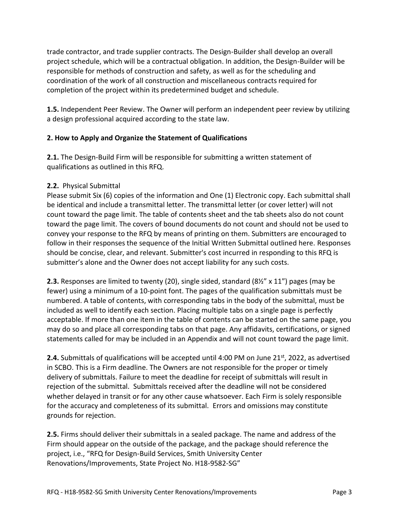trade contractor, and trade supplier contracts. The Design-Builder shall develop an overall project schedule, which will be a contractual obligation. In addition, the Design-Builder will be responsible for methods of construction and safety, as well as for the scheduling and coordination of the work of all construction and miscellaneous contracts required for completion of the project within its predetermined budget and schedule.

**1.5.** Independent Peer Review. The Owner will perform an independent peer review by utilizing a design professional acquired according to the state law.

### **2. How to Apply and Organize the Statement of Qualifications**

**2.1.** The Design-Build Firm will be responsible for submitting a written statement of qualifications as outlined in this RFQ.

#### **2.2.** Physical Submittal

Please submit Six (6) copies of the information and One (1) Electronic copy. Each submittal shall be identical and include a transmittal letter. The transmittal letter (or cover letter) will not count toward the page limit. The table of contents sheet and the tab sheets also do not count toward the page limit. The covers of bound documents do not count and should not be used to convey your response to the RFQ by means of printing on them. Submitters are encouraged to follow in their responses the sequence of the Initial Written Submittal outlined here. Responses should be concise, clear, and relevant. Submitter's cost incurred in responding to this RFQ is submitter's alone and the Owner does not accept liability for any such costs.

**2.3.** Responses are limited to twenty (20), single sided, standard (8½" x 11") pages (may be fewer) using a minimum of a 10-point font. The pages of the qualification submittals must be numbered. A table of contents, with corresponding tabs in the body of the submittal, must be included as well to identify each section. Placing multiple tabs on a single page is perfectly acceptable. If more than one item in the table of contents can be started on the same page, you may do so and place all corresponding tabs on that page. Any affidavits, certifications, or signed statements called for may be included in an Appendix and will not count toward the page limit.

**2.4.** Submittals of qualifications will be accepted until 4:00 PM on June 21<sup>st</sup>, 2022, as advertised in SCBO. This is a Firm deadline. The Owners are not responsible for the proper or timely delivery of submittals. Failure to meet the deadline for receipt of submittals will result in rejection of the submittal. Submittals received after the deadline will not be considered whether delayed in transit or for any other cause whatsoever. Each Firm is solely responsible for the accuracy and completeness of its submittal. Errors and omissions may constitute grounds for rejection.

**2.5.** Firms should deliver their submittals in a sealed package. The name and address of the Firm should appear on the outside of the package, and the package should reference the project, i.e., "RFQ for Design-Build Services, Smith University Center Renovations/Improvements, State Project No. H18-9582-SG"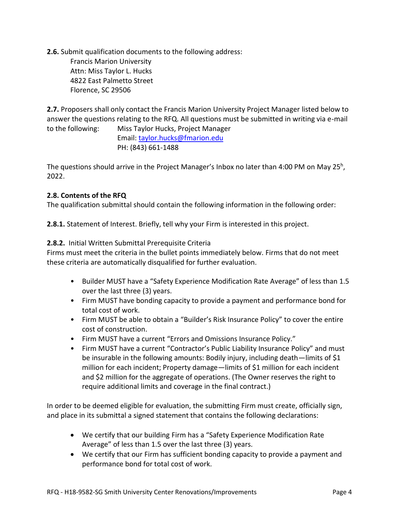**2.6.** Submit qualification documents to the following address: Francis Marion University Attn: Miss Taylor L. Hucks 4822 East Palmetto Street Florence, SC 29506

**2.7.** Proposers shall only contact the Francis Marion University Project Manager listed below to answer the questions relating to the RFQ. All questions must be submitted in writing via e-mail to the following: Miss Taylor Hucks, Project Manager

Email[: taylor.hucks@fmarion.edu](mailto:taylor.hucks@fmarion.edu) PH: (843) 661-1488

The questions should arrive in the Project Manager's Inbox no later than 4:00 PM on May 25<sup>h</sup>, 2022.

### **2.8. Contents of the RFQ**

The qualification submittal should contain the following information in the following order:

**2.8.1.** Statement of Interest. Briefly, tell why your Firm is interested in this project.

#### **2.8.2.** Initial Written Submittal Prerequisite Criteria

Firms must meet the criteria in the bullet points immediately below. Firms that do not meet these criteria are automatically disqualified for further evaluation.

- Builder MUST have a "Safety Experience Modification Rate Average" of less than 1.5 over the last three (3) years.
- Firm MUST have bonding capacity to provide a payment and performance bond for total cost of work.
- Firm MUST be able to obtain a "Builder's Risk Insurance Policy" to cover the entire cost of construction.
- Firm MUST have a current "Errors and Omissions Insurance Policy."
- Firm MUST have a current "Contractor's Public Liability Insurance Policy" and must be insurable in the following amounts: Bodily injury, including death—limits of \$1 million for each incident; Property damage—limits of \$1 million for each incident and \$2 million for the aggregate of operations. (The Owner reserves the right to require additional limits and coverage in the final contract.)

In order to be deemed eligible for evaluation, the submitting Firm must create, officially sign, and place in its submittal a signed statement that contains the following declarations:

- We certify that our building Firm has a "Safety Experience Modification Rate Average" of less than 1.5 over the last three (3) years.
- We certify that our Firm has sufficient bonding capacity to provide a payment and performance bond for total cost of work.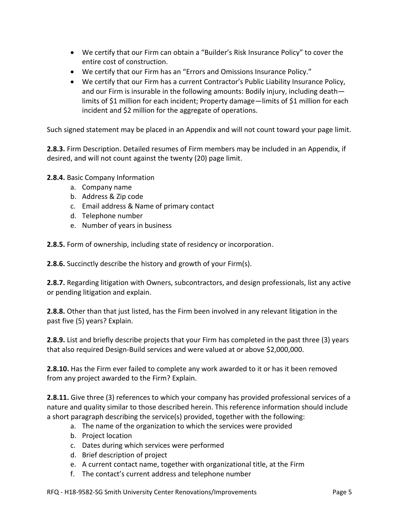- We certify that our Firm can obtain a "Builder's Risk Insurance Policy" to cover the entire cost of construction.
- We certify that our Firm has an "Errors and Omissions Insurance Policy."
- We certify that our Firm has a current Contractor's Public Liability Insurance Policy, and our Firm is insurable in the following amounts: Bodily injury, including death limits of \$1 million for each incident; Property damage—limits of \$1 million for each incident and \$2 million for the aggregate of operations.

Such signed statement may be placed in an Appendix and will not count toward your page limit.

**2.8.3.** Firm Description. Detailed resumes of Firm members may be included in an Appendix, if desired, and will not count against the twenty (20) page limit.

**2.8.4.** Basic Company Information

- a. Company name
- b. Address & Zip code
- c. Email address & Name of primary contact
- d. Telephone number
- e. Number of years in business

**2.8.5.** Form of ownership, including state of residency or incorporation.

**2.8.6.** Succinctly describe the history and growth of your Firm(s).

**2.8.7.** Regarding litigation with Owners, subcontractors, and design professionals, list any active or pending litigation and explain.

**2.8.8.** Other than that just listed, has the Firm been involved in any relevant litigation in the past five (5) years? Explain.

**2.8.9.** List and briefly describe projects that your Firm has completed in the past three (3) years that also required Design-Build services and were valued at or above \$2,000,000.

**2.8.10.** Has the Firm ever failed to complete any work awarded to it or has it been removed from any project awarded to the Firm? Explain.

**2.8.11.** Give three (3) references to which your company has provided professional services of a nature and quality similar to those described herein. This reference information should include a short paragraph describing the service(s) provided, together with the following:

- a. The name of the organization to which the services were provided
- b. Project location
- c. Dates during which services were performed
- d. Brief description of project
- e. A current contact name, together with organizational title, at the Firm
- f. The contact's current address and telephone number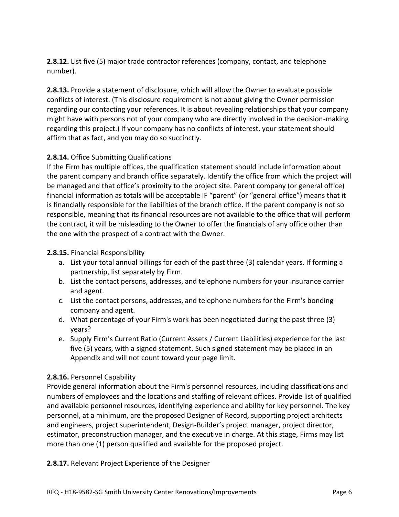**2.8.12.** List five (5) major trade contractor references (company, contact, and telephone number).

**2.8.13.** Provide a statement of disclosure, which will allow the Owner to evaluate possible conflicts of interest. (This disclosure requirement is not about giving the Owner permission regarding our contacting your references. It is about revealing relationships that your company might have with persons not of your company who are directly involved in the decision-making regarding this project.) If your company has no conflicts of interest, your statement should affirm that as fact, and you may do so succinctly.

### **2.8.14.** Office Submitting Qualifications

If the Firm has multiple offices, the qualification statement should include information about the parent company and branch office separately. Identify the office from which the project will be managed and that office's proximity to the project site. Parent company (or general office) financial information as totals will be acceptable IF "parent" (or "general office") means that it is financially responsible for the liabilities of the branch office. If the parent company is not so responsible, meaning that its financial resources are not available to the office that will perform the contract, it will be misleading to the Owner to offer the financials of any office other than the one with the prospect of a contract with the Owner.

#### **2.8.15.** Financial Responsibility

- a. List your total annual billings for each of the past three (3) calendar years. If forming a partnership, list separately by Firm.
- b. List the contact persons, addresses, and telephone numbers for your insurance carrier and agent.
- c. List the contact persons, addresses, and telephone numbers for the Firm's bonding company and agent.
- d. What percentage of your Firm's work has been negotiated during the past three (3) years?
- e. Supply Firm's Current Ratio (Current Assets / Current Liabilities) experience for the last five (5) years, with a signed statement. Such signed statement may be placed in an Appendix and will not count toward your page limit.

#### **2.8.16.** Personnel Capability

Provide general information about the Firm's personnel resources, including classifications and numbers of employees and the locations and staffing of relevant offices. Provide list of qualified and available personnel resources, identifying experience and ability for key personnel. The key personnel, at a minimum, are the proposed Designer of Record, supporting project architects and engineers, project superintendent, Design-Builder's project manager, project director, estimator, preconstruction manager, and the executive in charge. At this stage, Firms may list more than one (1) person qualified and available for the proposed project.

**2.8.17.** Relevant Project Experience of the Designer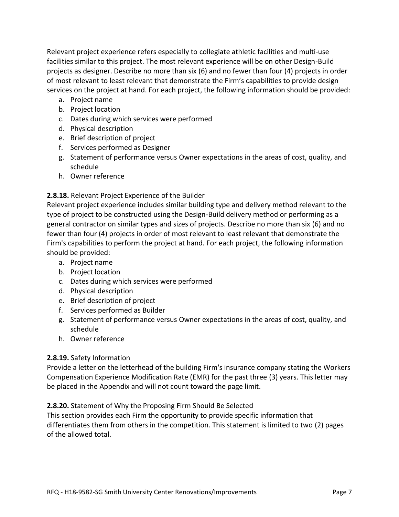Relevant project experience refers especially to collegiate athletic facilities and multi-use facilities similar to this project. The most relevant experience will be on other Design-Build projects as designer. Describe no more than six (6) and no fewer than four (4) projects in order of most relevant to least relevant that demonstrate the Firm's capabilities to provide design services on the project at hand. For each project, the following information should be provided:

- a. Project name
- b. Project location
- c. Dates during which services were performed
- d. Physical description
- e. Brief description of project
- f. Services performed as Designer
- g. Statement of performance versus Owner expectations in the areas of cost, quality, and schedule
- h. Owner reference

#### **2.8.18.** Relevant Project Experience of the Builder

Relevant project experience includes similar building type and delivery method relevant to the type of project to be constructed using the Design-Build delivery method or performing as a general contractor on similar types and sizes of projects. Describe no more than six (6) and no fewer than four (4) projects in order of most relevant to least relevant that demonstrate the Firm's capabilities to perform the project at hand. For each project, the following information should be provided:

- a. Project name
- b. Project location
- c. Dates during which services were performed
- d. Physical description
- e. Brief description of project
- f. Services performed as Builder
- g. Statement of performance versus Owner expectations in the areas of cost, quality, and schedule
- h. Owner reference

#### **2.8.19.** Safety Information

Provide a letter on the letterhead of the building Firm's insurance company stating the Workers Compensation Experience Modification Rate (EMR) for the past three (3) years. This letter may be placed in the Appendix and will not count toward the page limit.

#### **2.8.20.** Statement of Why the Proposing Firm Should Be Selected

This section provides each Firm the opportunity to provide specific information that differentiates them from others in the competition. This statement is limited to two (2) pages of the allowed total.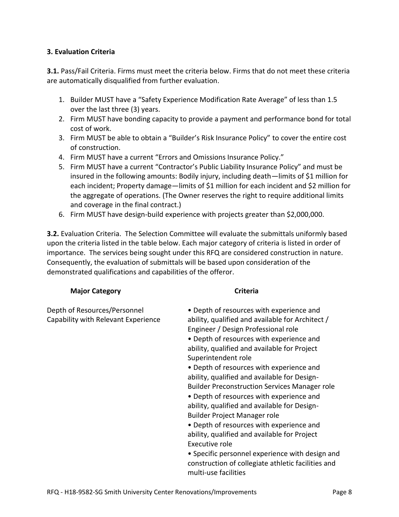#### **3. Evaluation Criteria**

**3.1.** Pass/Fail Criteria. Firms must meet the criteria below. Firms that do not meet these criteria are automatically disqualified from further evaluation.

- 1. Builder MUST have a "Safety Experience Modification Rate Average" of less than 1.5 over the last three (3) years.
- 2. Firm MUST have bonding capacity to provide a payment and performance bond for total cost of work.
- 3. Firm MUST be able to obtain a "Builder's Risk Insurance Policy" to cover the entire cost of construction.
- 4. Firm MUST have a current "Errors and Omissions Insurance Policy."
- 5. Firm MUST have a current "Contractor's Public Liability Insurance Policy" and must be insured in the following amounts: Bodily injury, including death—limits of \$1 million for each incident; Property damage—limits of \$1 million for each incident and \$2 million for the aggregate of operations. (The Owner reserves the right to require additional limits and coverage in the final contract.)
- 6. Firm MUST have design-build experience with projects greater than \$2,000,000.

**3.2.** Evaluation Criteria. The Selection Committee will evaluate the submittals uniformly based upon the criteria listed in the table below. Each major category of criteria is listed in order of importance. The services being sought under this RFQ are considered construction in nature. Consequently, the evaluation of submittals will be based upon consideration of the demonstrated qualifications and capabilities of the offeror.

#### **Major Category Criteria Criteria**

| Depth of Resources/Personnel        | • Depth of resources with experience and                                                |
|-------------------------------------|-----------------------------------------------------------------------------------------|
| Capability with Relevant Experience | ability, qualified and available for Architect /<br>Engineer / Design Professional role |
|                                     | • Depth of resources with experience and                                                |
|                                     | ability, qualified and available for Project                                            |
|                                     | Superintendent role                                                                     |
|                                     | • Depth of resources with experience and                                                |
|                                     | ability, qualified and available for Design-                                            |
|                                     | <b>Builder Preconstruction Services Manager role</b>                                    |
|                                     | • Depth of resources with experience and                                                |
|                                     | ability, qualified and available for Design-                                            |
|                                     | Builder Project Manager role                                                            |
|                                     | • Depth of resources with experience and                                                |
|                                     | ability, qualified and available for Project                                            |
|                                     | Executive role                                                                          |
|                                     | • Specific personnel experience with design and                                         |
|                                     | construction of collegiate athletic facilities and                                      |
|                                     | multi-use facilities                                                                    |